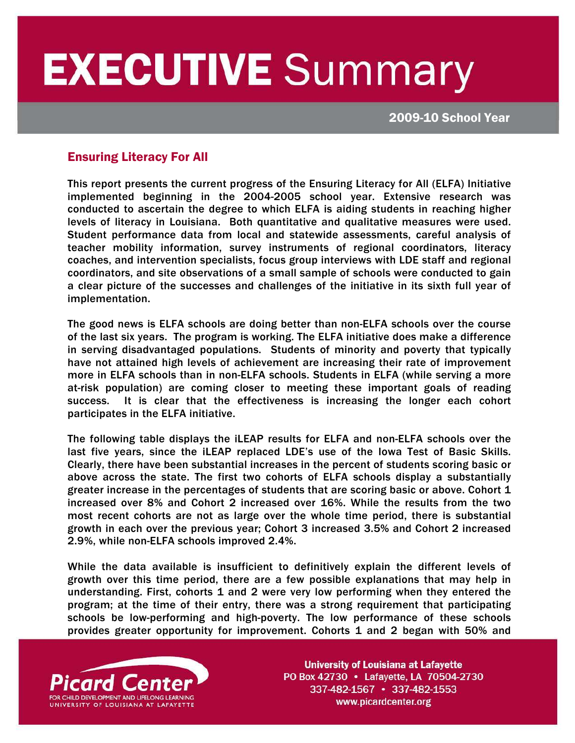## **EXECUTIVE Summary** í

2009-10 School Year

## Ensuring Literacy For All

I

This report presents the current progress of the Ensuring Literacy for All (ELFA) Initiative implemented beginning in the 2004-2005 school year. Extensive research was conducted to ascertain the degree to which ELFA is aiding students in reaching higher levels of literacy in Louisiana. Both quantitative and qualitative measures were used. Student performance data from local and statewide assessments, careful analysis of teacher mobility information, survey instruments of regional coordinators, literacy coaches, and intervention specialists, focus group interviews with LDE staff and regional coordinators, and site observations of a small sample of schools were conducted to gain a clear picture of the successes and challenges of the initiative in its sixth full year of implementation.

The good news is ELFA schools are doing better than non-ELFA schools over the course of the last six years. The program is working. The ELFA initiative does make a difference in serving disadvantaged populations. Students of minority and poverty that typically have not attained high levels of achievement are increasing their rate of improvement more in ELFA schools than in non-ELFA schools. Students in ELFA (while serving a more at-risk population) are coming closer to meeting these important goals of reading success. It is clear that the effectiveness is increasing the longer each cohort participates in the ELFA initiative.

The following table displays the iLEAP results for ELFA and non-ELFA schools over the last five years, since the iLEAP replaced LDE's use of the Iowa Test of Basic Skills. Clearly, there have been substantial increases in the percent of students scoring basic or above across the state. The first two cohorts of ELFA schools display a substantially greater increase in the percentages of students that are scoring basic or above. Cohort 1 increased over 8% and Cohort 2 increased over 16%. While the results from the two most recent cohorts are not as large over the whole time period, there is substantial growth in each over the previous year; Cohort 3 increased 3.5% and Cohort 2 increased 2.9%, while non-ELFA schools improved 2.4%.

While the data available is insufficient to definitively explain the different levels of growth over this time period, there are a few possible explanations that may help in understanding. First, cohorts 1 and 2 were very low performing when they entered the program; at the time of their entry, there was a strong requirement that participating schools be low-performing and high-poverty. The low performance of these schools provides greater opportunity for improvement. Cohorts 1 and 2 began with 50% and



**University of Louisiana at Lafayette** PO Box 42730 • Lafayette, LA 70504-2730 337-482-1567 • 337-482-1553 www.picardcenter.org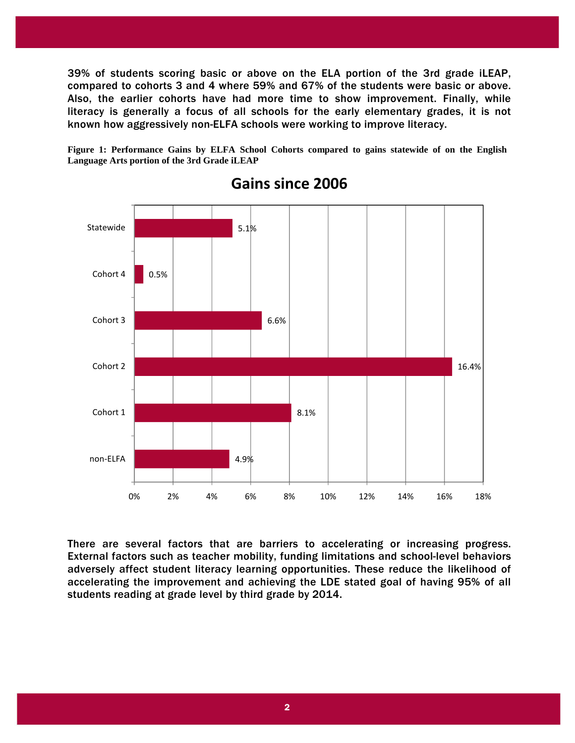39% of students scoring basic or above on the ELA portion of the 3rd grade iLEAP, compared to cohorts 3 and 4 where 59% and 67% of the students were basic or above. Also, the earlier cohorts have had more time to show improvement. Finally, while literacy is generally a focus of all schools for the early elementary grades, it is not known how aggressively non-ELFA schools were working to improve literacy.

**Figure 1: Performance Gains by ELFA School Cohorts compared to gains statewide of on the English Language Arts portion of the 3rd Grade iLEAP** 



Gains since 2006

There are several factors that are barriers to accelerating or increasing progress. External factors such as teacher mobility, funding limitations and school-level behaviors adversely affect student literacy learning opportunities. These reduce the likelihood of accelerating the improvement and achieving the LDE stated goal of having 95% of all students reading at grade level by third grade by 2014.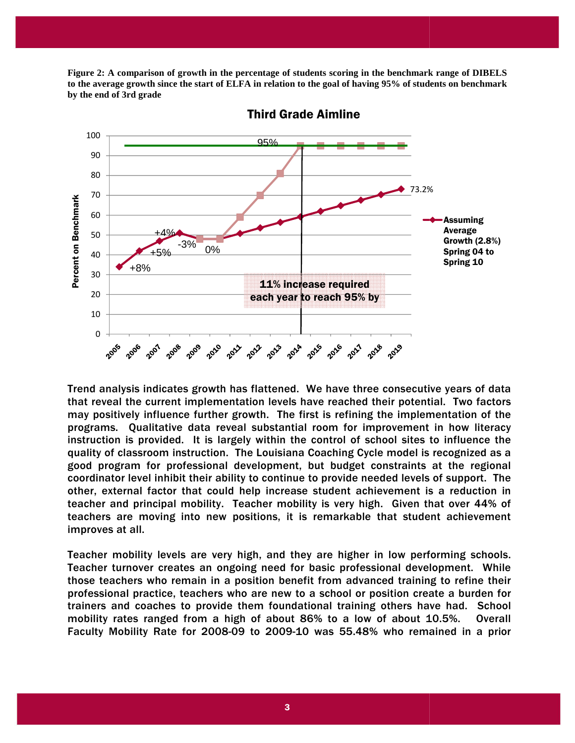Figure 2: A comparison of growth in the percentage of students scoring in the benchmark range of DIBELS **to the average growth since the start of ELFA in relation to the goal of having 95% of students on benchmark he benchmark by the end of 3rd grade** 



Third Grade Aimline

Trend analysis indicates growth has flattened. We have three consecutive years of data Trend analysis indicates growth has flattened. We have three consecutive years of data<br>that reveal the current implementation levels have reached their potential. Two factors may positively influence further growth. The first is refining the implementation of the may positively influence further growth. The first is refining the implementation of the<br>programs. Qualitative data reveal substantial room for improvement in how literacy instruction is provided. It is largely within the control of school sites to influence the quality of classroom instruction. The Louisiana Coaching Cycle model is recognized as a<br>good program for professional development, but budget constraints at the regional<br>coordinator level inhibit their ability to good program for professional development, but budget constraints at the regional coordinator level inhibit their ability to continue to provide needed levels of support. The other, external factor that could help increase student achievement is a reduction in teacher and principal mobility. Teacher mobility is very high. Given that over 44% of other, external factor that could help increase student achievement is a reduction in<br>teacher and principal mobility. Teacher mobility is very high. Given that over 44% of<br>teachers are moving into new positions, it is rem improves at all.

Teacher mobility levels are very high, and they are higher in low performing schools. Teacher turnover creates an ongoing need for basic professional development. While those teachers who remain in a position benefit from advanced training to refine their professional practice, teachers who are new to a school or position create a burden for trainers and coaches to provide them foundational training others have had. School mobility rates ranged from a high of about 86% to a low of about 10.5%. Overall trainers and coaches to provide them foundational training others have had. School<br>mobility rates ranged from a high of about 86% to a low of about 10.5%. Overall<br>Faculty Mobility Rate for 2008-09 to 2009-10 was 55.48% who Teacher mobility levels are very high, and they are higher in low performing schools.<br>Teacher turnover creates an ongoing need for basic professional development. While<br>those teachers who remain in a position benefit from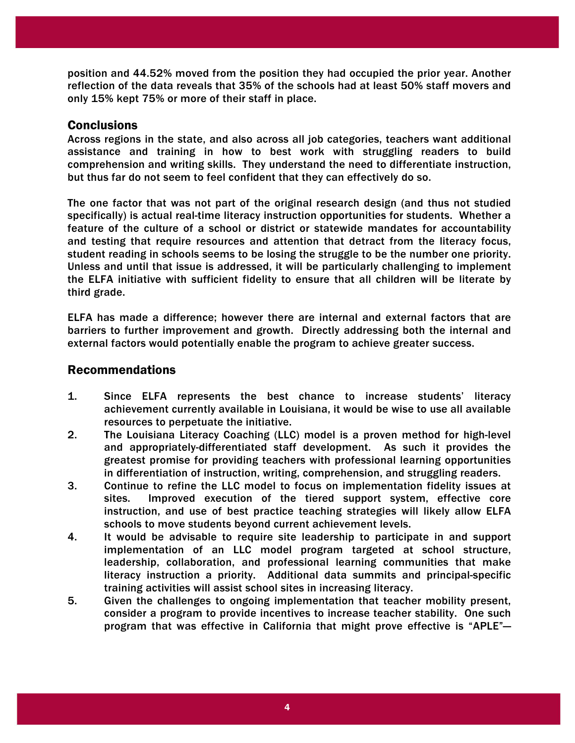position and 44.52% moved from the position they had occupied the prior year. Another reflection of the data reveals that 35% of the schools had at least 50% staff movers and only 15% kept 75% or more of their staff in place.

## **Conclusions**

Across regions in the state, and also across all job categories, teachers want additional assistance and training in how to best work with struggling readers to build comprehension and writing skills. They understand the need to differentiate instruction, but thus far do not seem to feel confident that they can effectively do so.

The one factor that was not part of the original research design (and thus not studied specifically) is actual real-time literacy instruction opportunities for students. Whether a feature of the culture of a school or district or statewide mandates for accountability and testing that require resources and attention that detract from the literacy focus, student reading in schools seems to be losing the struggle to be the number one priority. Unless and until that issue is addressed, it will be particularly challenging to implement the ELFA initiative with sufficient fidelity to ensure that all children will be literate by third grade.

ELFA has made a difference; however there are internal and external factors that are barriers to further improvement and growth. Directly addressing both the internal and external factors would potentially enable the program to achieve greater success.

## Recommendations

- 1. Since ELFA represents the best chance to increase students' literacy achievement currently available in Louisiana, it would be wise to use all available resources to perpetuate the initiative.
- 2. The Louisiana Literacy Coaching (LLC) model is a proven method for high-level and appropriately-differentiated staff development. As such it provides the greatest promise for providing teachers with professional learning opportunities in differentiation of instruction, writing, comprehension, and struggling readers.
- 3. Continue to refine the LLC model to focus on implementation fidelity issues at sites. Improved execution of the tiered support system, effective core instruction, and use of best practice teaching strategies will likely allow ELFA schools to move students beyond current achievement levels.
- 4. It would be advisable to require site leadership to participate in and support implementation of an LLC model program targeted at school structure, leadership, collaboration, and professional learning communities that make literacy instruction a priority. Additional data summits and principal-specific training activities will assist school sites in increasing literacy.
- 5. Given the challenges to ongoing implementation that teacher mobility present, consider a program to provide incentives to increase teacher stability. One such program that was effective in California that might prove effective is "APLE"—